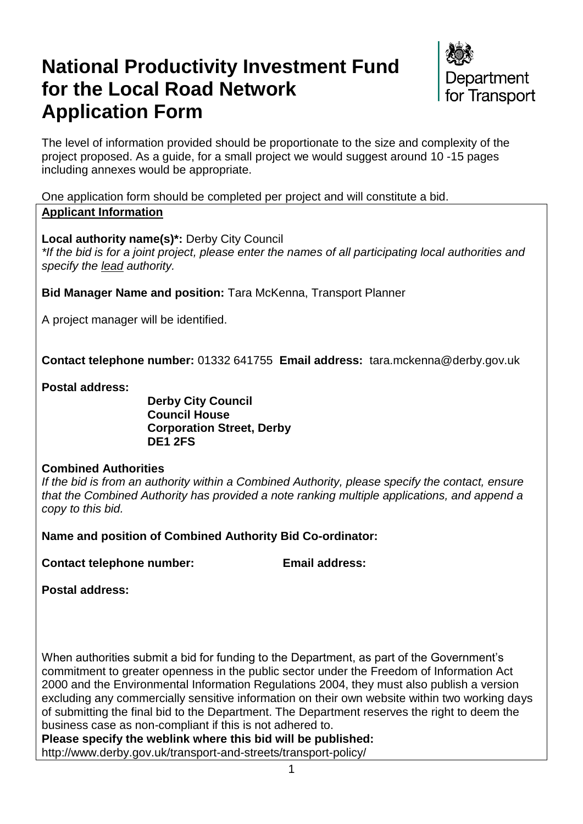# **National Productivity Investment Fund for the Local Road Network Application Form**



The level of information provided should be proportionate to the size and complexity of the project proposed. As a guide, for a small project we would suggest around 10 -15 pages including annexes would be appropriate.

One application form should be completed per project and will constitute a bid. **Applicant Information**

**Local authority name(s)\*:** Derby City Council

*\*If the bid is for a joint project, please enter the names of all participating local authorities and specify the lead authority.*

**Bid Manager Name and position:** Tara McKenna, Transport Planner

A project manager will be identified.

**Contact telephone number:** 01332 641755 **Email address:** tara.mckenna@derby.gov.uk

**Postal address:**

**Derby City Council Council House Corporation Street, Derby DE1 2FS**

## **Combined Authorities**

*If the bid is from an authority within a Combined Authority, please specify the contact, ensure that the Combined Authority has provided a note ranking multiple applications, and append a copy to this bid.*

**Name and position of Combined Authority Bid Co-ordinator:** 

**Contact telephone number: Email address:** 

**Postal address:**

When authorities submit a bid for funding to the Department, as part of the Government's commitment to greater openness in the public sector under the Freedom of Information Act 2000 and the Environmental Information Regulations 2004, they must also publish a version excluding any commercially sensitive information on their own website within two working days of submitting the final bid to the Department. The Department reserves the right to deem the business case as non-compliant if this is not adhered to.

**Please specify the weblink where this bid will be published:** 

http://www.derby.gov.uk/transport-and-streets/transport-policy/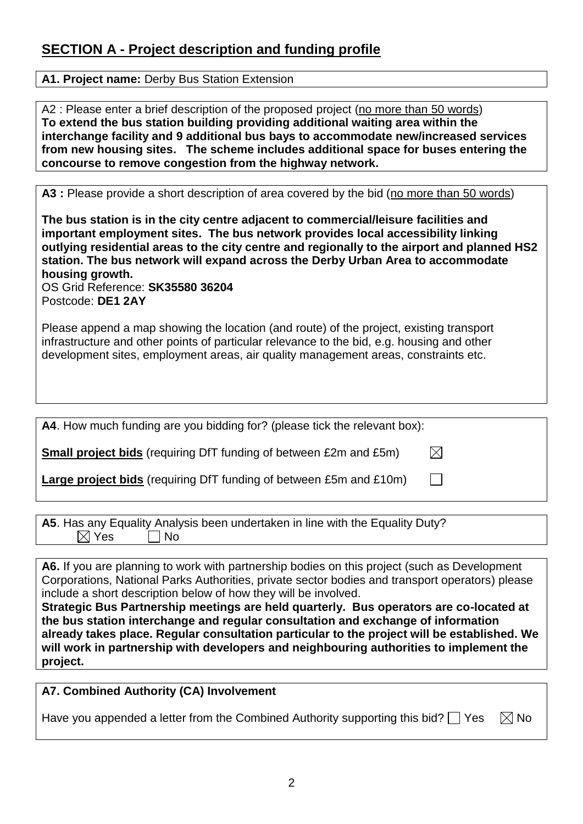# **SECTION A - Project description and funding profile**

#### **A1. Project name:** Derby Bus Station Extension

A2 : Please enter a brief description of the proposed project (no more than 50 words) **To extend the bus station building providing additional waiting area within the interchange facility and 9 additional bus bays to accommodate new/increased services from new housing sites. The scheme includes additional space for buses entering the concourse to remove congestion from the highway network.** 

A3 : Please provide a short description of area covered by the bid (no more than 50 words)

**The bus station is in the city centre adjacent to commercial/leisure facilities and important employment sites. The bus network provides local accessibility linking outlying residential areas to the city centre and regionally to the airport and planned HS2 station. The bus network will expand across the Derby Urban Area to accommodate housing growth.**

OS Grid Reference: **SK35580 36204** Postcode: **DE1 2AY**

Please append a map showing the location (and route) of the project, existing transport infrastructure and other points of particular relevance to the bid, e.g. housing and other development sites, employment areas, air quality management areas, constraints etc.

| A4. How much funding are you bidding for? (please tick the relevant box): |             |
|---------------------------------------------------------------------------|-------------|
| <b>Small project bids</b> (requiring DfT funding of between £2m and £5m)  | $\boxtimes$ |
| <b>Large project bids</b> (requiring DfT funding of between £5m and £10m) |             |

|                 |           |  | A5. Has any Equality Analysis been undertaken in line with the Equality Duty? |
|-----------------|-----------|--|-------------------------------------------------------------------------------|
| $\boxtimes$ Yes | $\Box$ No |  |                                                                               |

**A6.** If you are planning to work with partnership bodies on this project (such as Development Corporations, National Parks Authorities, private sector bodies and transport operators) please include a short description below of how they will be involved.

**Strategic Bus Partnership meetings are held quarterly. Bus operators are co-located at the bus station interchange and regular consultation and exchange of information already takes place. Regular consultation particular to the project will be established. We will work in partnership with developers and neighbouring authorities to implement the project.**

## **A7. Combined Authority (CA) Involvement**

Have you appended a letter from the Combined Authority supporting this bid?  $\Box$  Yes  $\Box$  No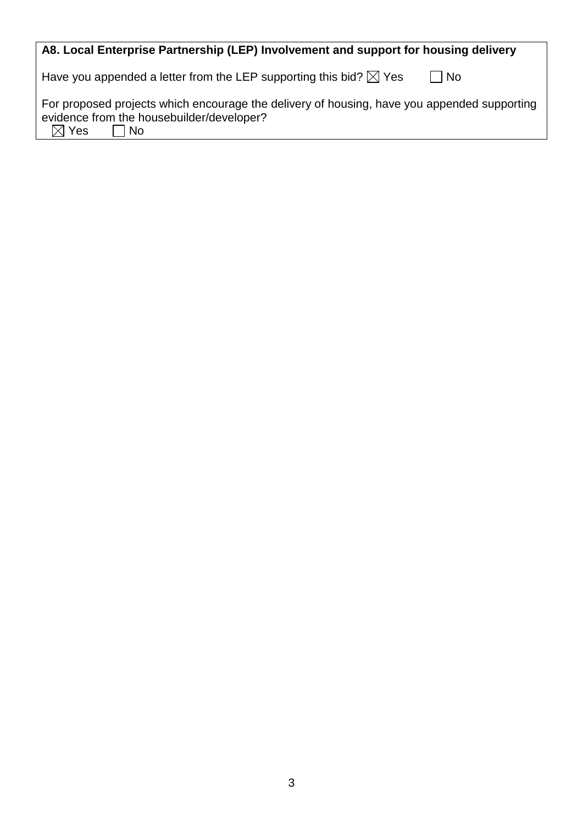| A8. Local Enterprise Partnership (LEP) Involvement and support for housing delivery                                                                                 |
|---------------------------------------------------------------------------------------------------------------------------------------------------------------------|
| Have you appended a letter from the LEP supporting this bid? $\boxtimes$ Yes<br>No                                                                                  |
| For proposed projects which encourage the delivery of housing, have you appended supporting<br>evidence from the housebuilder/developer?<br>$\boxtimes$ Yes<br>  No |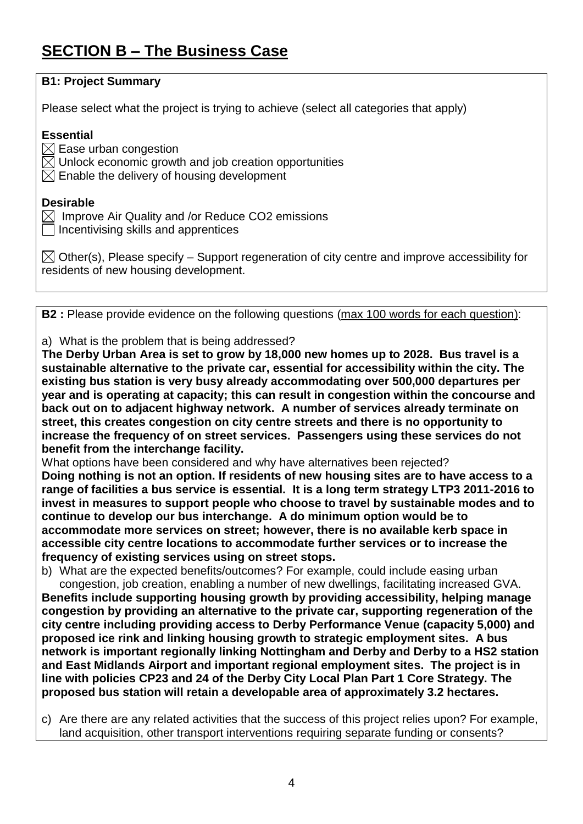# **SECTION B – The Business Case**

| <b>B1: Project Summary</b>                                                                                                                                                           |
|--------------------------------------------------------------------------------------------------------------------------------------------------------------------------------------|
| Please select what the project is trying to achieve (select all categories that apply)                                                                                               |
| <b>Essential</b><br>$\boxtimes$ Ease urban congestion<br>$\boxtimes$ Unlock economic growth and job creation opportunities<br>$\boxtimes$ Enable the delivery of housing development |
| <b>Desirable</b><br>Improve Air Quality and /or Reduce CO2 emissions<br>Incentivising skills and apprentices                                                                         |
| $\boxtimes$ Other(s), Please specify – Support regeneration of city centre and improve accessibility for<br>residents of new housing development.                                    |
|                                                                                                                                                                                      |
| <b>B2</b> : Please provide evidence on the following questions (max 100 words for each question):                                                                                    |

a) What is the problem that is being addressed?

**The Derby Urban Area is set to grow by 18,000 new homes up to 2028. Bus travel is a sustainable alternative to the private car, essential for accessibility within the city. The existing bus station is very busy already accommodating over 500,000 departures per year and is operating at capacity; this can result in congestion within the concourse and back out on to adjacent highway network. A number of services already terminate on street, this creates congestion on city centre streets and there is no opportunity to increase the frequency of on street services. Passengers using these services do not benefit from the interchange facility.** 

What options have been considered and why have alternatives been rejected? **Doing nothing is not an option. If residents of new housing sites are to have access to a range of facilities a bus service is essential. It is a long term strategy LTP3 2011-2016 to invest in measures to support people who choose to travel by sustainable modes and to continue to develop our bus interchange. A do minimum option would be to accommodate more services on street; however, there is no available kerb space in accessible city centre locations to accommodate further services or to increase the frequency of existing services using on street stops.** 

b) What are the expected benefits/outcomes? For example, could include easing urban congestion, job creation, enabling a number of new dwellings, facilitating increased GVA. **Benefits include supporting housing growth by providing accessibility, helping manage congestion by providing an alternative to the private car, supporting regeneration of the city centre including providing access to Derby Performance Venue (capacity 5,000) and proposed ice rink and linking housing growth to strategic employment sites. A bus network is important regionally linking Nottingham and Derby and Derby to a HS2 station and East Midlands Airport and important regional employment sites. The project is in line with policies CP23 and 24 of the Derby City Local Plan Part 1 Core Strategy. The proposed bus station will retain a developable area of approximately 3.2 hectares.**

c) Are there are any related activities that the success of this project relies upon? For example, land acquisition, other transport interventions requiring separate funding or consents?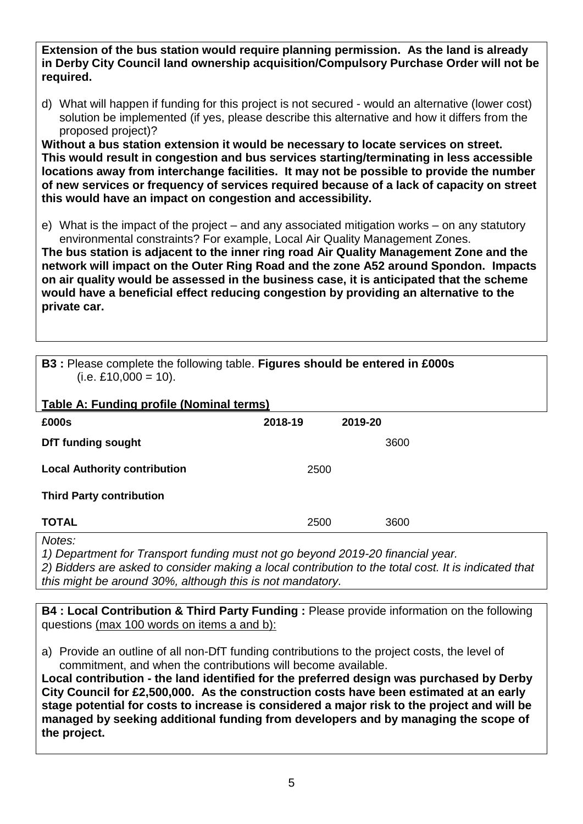**Extension of the bus station would require planning permission. As the land is already in Derby City Council land ownership acquisition/Compulsory Purchase Order will not be required.**

d) What will happen if funding for this project is not secured - would an alternative (lower cost) solution be implemented (if yes, please describe this alternative and how it differs from the proposed project)?

**Without a bus station extension it would be necessary to locate services on street. This would result in congestion and bus services starting/terminating in less accessible locations away from interchange facilities. It may not be possible to provide the number of new services or frequency of services required because of a lack of capacity on street this would have an impact on congestion and accessibility.** 

e) What is the impact of the project – and any associated mitigation works – on any statutory environmental constraints? For example, Local Air Quality Management Zones.

**The bus station is adjacent to the inner ring road Air Quality Management Zone and the network will impact on the Outer Ring Road and the zone A52 around Spondon. Impacts on air quality would be assessed in the business case, it is anticipated that the scheme would have a beneficial effect reducing congestion by providing an alternative to the private car.** 

| <b>B3</b> : Please complete the following table. Figures should be entered in £000s |  |
|-------------------------------------------------------------------------------------|--|
| $(i.e. £10,000 = 10).$                                                              |  |

| Table A: Funding profile (Nominal terms) |         |         |      |
|------------------------------------------|---------|---------|------|
| £000s                                    | 2018-19 | 2019-20 |      |
| <b>DfT funding sought</b>                |         |         | 3600 |
| <b>Local Authority contribution</b>      | 2500    |         |      |
| <b>Third Party contribution</b>          |         |         |      |
| <b>TOTAL</b>                             | 2500    |         | 3600 |
| Notes:                                   |         |         |      |

*1) Department for Transport funding must not go beyond 2019-20 financial year.*

*2) Bidders are asked to consider making a local contribution to the total cost. It is indicated that this might be around 30%, although this is not mandatory.*

**B4 : Local Contribution & Third Party Funding :** Please provide information on the following questions (max 100 words on items a and b):

a) Provide an outline of all non-DfT funding contributions to the project costs, the level of commitment, and when the contributions will become available.

**Local contribution - the land identified for the preferred design was purchased by Derby City Council for £2,500,000. As the construction costs have been estimated at an early stage potential for costs to increase is considered a major risk to the project and will be managed by seeking additional funding from developers and by managing the scope of the project.**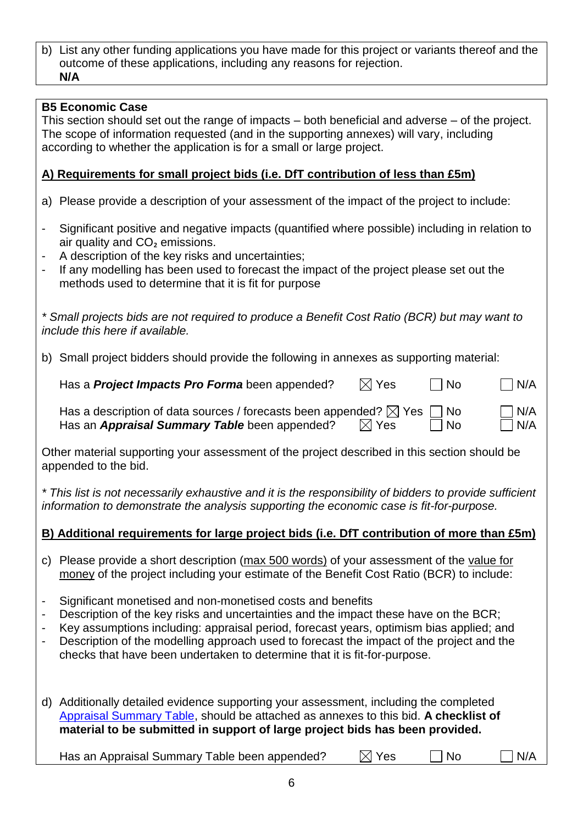#### b) List any other funding applications you have made for this project or variants thereof and the outcome of these applications, including any reasons for rejection. **N/A**

### **B5 Economic Case**

This section should set out the range of impacts – both beneficial and adverse – of the project. The scope of information requested (and in the supporting annexes) will vary, including according to whether the application is for a small or large project.

## **A) Requirements for small project bids (i.e. DfT contribution of less than £5m)**

- a) Please provide a description of your assessment of the impact of the project to include:
- Significant positive and negative impacts (quantified where possible) including in relation to air quality and CO₂ emissions.
- A description of the key risks and uncertainties;
- If any modelling has been used to forecast the impact of the project please set out the methods used to determine that it is fit for purpose

*\* Small projects bids are not required to produce a Benefit Cost Ratio (BCR) but may want to include this here if available.*

b) Small project bidders should provide the following in annexes as supporting material:

Has a **Project Impacts Pro Forma** been appended?  $\boxtimes$  Yes  $\Box$  No  $\Box$  N/A

Has a description of data sources / forecasts been appended?  $\boxtimes$  Yes  $\Box$  No  $\Box$  N/A Has an **Appraisal Summary Table** been appended?  $\boxtimes$  Yes  $\Box$  No  $\Box$  N/A

Other material supporting your assessment of the project described in this section should be appended to the bid.

*\* This list is not necessarily exhaustive and it is the responsibility of bidders to provide sufficient information to demonstrate the analysis supporting the economic case is fit-for-purpose.*

## **B) Additional requirements for large project bids (i.e. DfT contribution of more than £5m)**

- c) Please provide a short description (max 500 words) of your assessment of the value for money of the project including your estimate of the Benefit Cost Ratio (BCR) to include:
- Significant monetised and non-monetised costs and benefits
- Description of the key risks and uncertainties and the impact these have on the BCR;
- Key assumptions including: appraisal period, forecast years, optimism bias applied; and
- Description of the modelling approach used to forecast the impact of the project and the checks that have been undertaken to determine that it is fit-for-purpose.

d) Additionally detailed evidence supporting your assessment, including the completed [Appraisal Summary Table,](https://www.gov.uk/government/publications/webtag-appraisal-tables) should be attached as annexes to this bid. **A checklist of material to be submitted in support of large project bids has been provided.**

Has an Appraisal Summary Table been appended?  $\Box$  Yes  $\Box$  No  $\Box$  N/A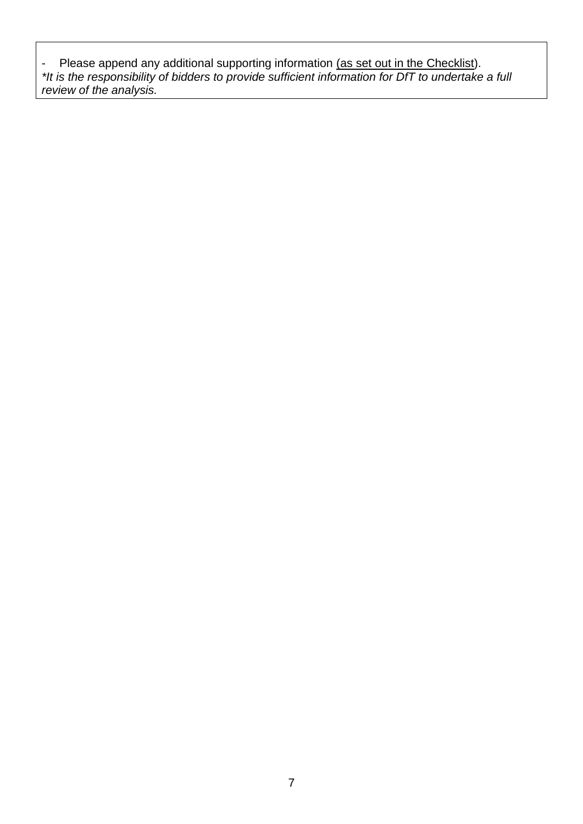- Please append any additional supporting information (as set out in the Checklist). *\*It is the responsibility of bidders to provide sufficient information for DfT to undertake a full review of the analysis.*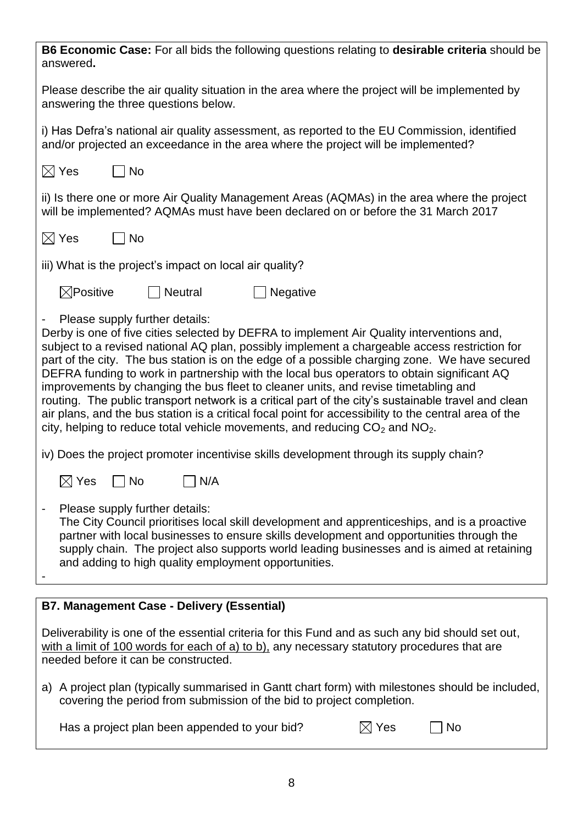| <b>B6 Economic Case:</b> For all bids the following questions relating to <b>desirable criteria</b> should be<br>answered.                                                                                                                                                                                                                                                                                                                                                                                                                                                                                                                                                                                                                                                                                            |
|-----------------------------------------------------------------------------------------------------------------------------------------------------------------------------------------------------------------------------------------------------------------------------------------------------------------------------------------------------------------------------------------------------------------------------------------------------------------------------------------------------------------------------------------------------------------------------------------------------------------------------------------------------------------------------------------------------------------------------------------------------------------------------------------------------------------------|
| Please describe the air quality situation in the area where the project will be implemented by<br>answering the three questions below.                                                                                                                                                                                                                                                                                                                                                                                                                                                                                                                                                                                                                                                                                |
| i) Has Defra's national air quality assessment, as reported to the EU Commission, identified<br>and/or projected an exceedance in the area where the project will be implemented?                                                                                                                                                                                                                                                                                                                                                                                                                                                                                                                                                                                                                                     |
| $\boxtimes$ Yes<br><b>No</b>                                                                                                                                                                                                                                                                                                                                                                                                                                                                                                                                                                                                                                                                                                                                                                                          |
| ii) Is there one or more Air Quality Management Areas (AQMAs) in the area where the project<br>will be implemented? AQMAs must have been declared on or before the 31 March 2017                                                                                                                                                                                                                                                                                                                                                                                                                                                                                                                                                                                                                                      |
| $\boxtimes$ Yes<br><b>No</b>                                                                                                                                                                                                                                                                                                                                                                                                                                                                                                                                                                                                                                                                                                                                                                                          |
| iii) What is the project's impact on local air quality?                                                                                                                                                                                                                                                                                                                                                                                                                                                                                                                                                                                                                                                                                                                                                               |
| $\boxtimes$ Positive<br><b>Neutral</b><br>Negative                                                                                                                                                                                                                                                                                                                                                                                                                                                                                                                                                                                                                                                                                                                                                                    |
| Please supply further details:<br>Derby is one of five cities selected by DEFRA to implement Air Quality interventions and,<br>subject to a revised national AQ plan, possibly implement a chargeable access restriction for<br>part of the city. The bus station is on the edge of a possible charging zone. We have secured<br>DEFRA funding to work in partnership with the local bus operators to obtain significant AQ<br>improvements by changing the bus fleet to cleaner units, and revise timetabling and<br>routing. The public transport network is a critical part of the city's sustainable travel and clean<br>air plans, and the bus station is a critical focal point for accessibility to the central area of the<br>city, helping to reduce total vehicle movements, and reducing $CO2$ and $NO2$ . |
| iv) Does the project promoter incentivise skills development through its supply chain?                                                                                                                                                                                                                                                                                                                                                                                                                                                                                                                                                                                                                                                                                                                                |
| $\boxtimes$ Yes $\quad \Box$ No<br>$\Box$ N/A                                                                                                                                                                                                                                                                                                                                                                                                                                                                                                                                                                                                                                                                                                                                                                         |
| Please supply further details:<br>The City Council prioritises local skill development and apprenticeships, and is a proactive<br>partner with local businesses to ensure skills development and opportunities through the<br>supply chain. The project also supports world leading businesses and is aimed at retaining<br>and adding to high quality employment opportunities.                                                                                                                                                                                                                                                                                                                                                                                                                                      |
| <b>B7. Management Case - Delivery (Essential)</b>                                                                                                                                                                                                                                                                                                                                                                                                                                                                                                                                                                                                                                                                                                                                                                     |
| Deliverability is one of the essential criteria for this Fund and as such any bid should set out,<br>with a limit of 100 words for each of a) to b), any necessary statutory procedures that are<br>needed before it can be constructed.                                                                                                                                                                                                                                                                                                                                                                                                                                                                                                                                                                              |
| a) A project plan (typically summarised in Gantt chart form) with milestones should be included,<br>covering the period from submission of the bid to project completion.                                                                                                                                                                                                                                                                                                                                                                                                                                                                                                                                                                                                                                             |
| $\boxtimes$ Yes<br>Has a project plan been appended to your bid?<br>No                                                                                                                                                                                                                                                                                                                                                                                                                                                                                                                                                                                                                                                                                                                                                |

8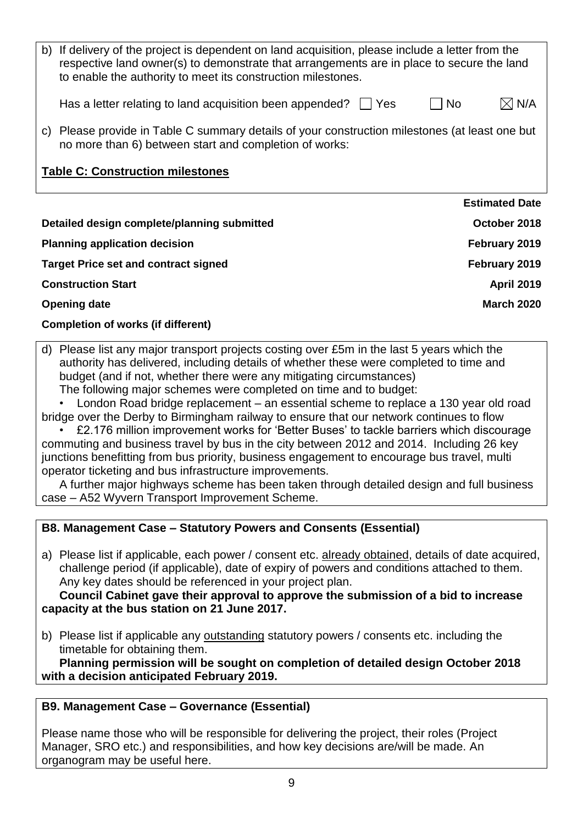| b) If delivery of the project is dependent on land acquisition, please include a letter from the<br>respective land owner(s) to demonstrate that arrangements are in place to secure the land<br>to enable the authority to meet its construction milestones. |                       |  |
|---------------------------------------------------------------------------------------------------------------------------------------------------------------------------------------------------------------------------------------------------------------|-----------------------|--|
| Has a letter relating to land acquisition been appended?<br>l IYes                                                                                                                                                                                            | No.<br>N/A            |  |
| Please provide in Table C summary details of your construction milestones (at least one but<br>C)<br>no more than 6) between start and completion of works:                                                                                                   |                       |  |
| <b>Table C: Construction milestones</b>                                                                                                                                                                                                                       |                       |  |
|                                                                                                                                                                                                                                                               | <b>Estimated Date</b> |  |
| Detailed design complete/planning submitted                                                                                                                                                                                                                   | October 2018          |  |
| <b>Planning application decision</b>                                                                                                                                                                                                                          | February 2019         |  |
| <b>Target Price set and contract signed</b>                                                                                                                                                                                                                   | February 2019         |  |
| <b>Construction Start</b>                                                                                                                                                                                                                                     | <b>April 2019</b>     |  |
| <b>Opening date</b>                                                                                                                                                                                                                                           | <b>March 2020</b>     |  |

#### **Completion of works (if different)**

d) Please list any major transport projects costing over £5m in the last 5 years which the authority has delivered, including details of whether these were completed to time and budget (and if not, whether there were any mitigating circumstances) The following major schemes were completed on time and to budget:

• London Road bridge replacement – an essential scheme to replace a 130 year old road

bridge over the Derby to Birmingham railway to ensure that our network continues to flow • £2.176 million improvement works for 'Better Buses' to tackle barriers which discourage

commuting and business travel by bus in the city between 2012 and 2014. Including 26 key junctions benefitting from bus priority, business engagement to encourage bus travel, multi operator ticketing and bus infrastructure improvements.

A further major highways scheme has been taken through detailed design and full business case – A52 Wyvern Transport Improvement Scheme.

#### **B8. Management Case – Statutory Powers and Consents (Essential)**

a) Please list if applicable, each power / consent etc. already obtained, details of date acquired, challenge period (if applicable), date of expiry of powers and conditions attached to them. Any key dates should be referenced in your project plan.

#### **Council Cabinet gave their approval to approve the submission of a bid to increase capacity at the bus station on 21 June 2017.**

b) Please list if applicable any outstanding statutory powers / consents etc. including the timetable for obtaining them.

**Planning permission will be sought on completion of detailed design October 2018 with a decision anticipated February 2019.**

## **B9. Management Case – Governance (Essential)**

Please name those who will be responsible for delivering the project, their roles (Project Manager, SRO etc.) and responsibilities, and how key decisions are/will be made. An organogram may be useful here.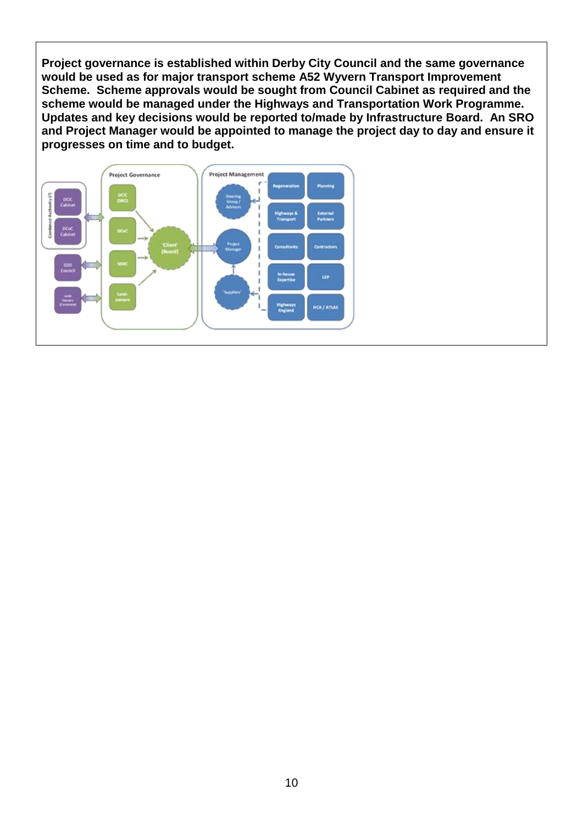**Project governance is established within Derby City Council and the same governance would be used as for major transport scheme A52 Wyvern Transport Improvement Scheme. Scheme approvals would be sought from Council Cabinet as required and the scheme would be managed under the Highways and Transportation Work Programme. Updates and key decisions would be reported to/made by Infrastructure Board. An SRO and Project Manager would be appointed to manage the project day to day and ensure it progresses on time and to budget.**

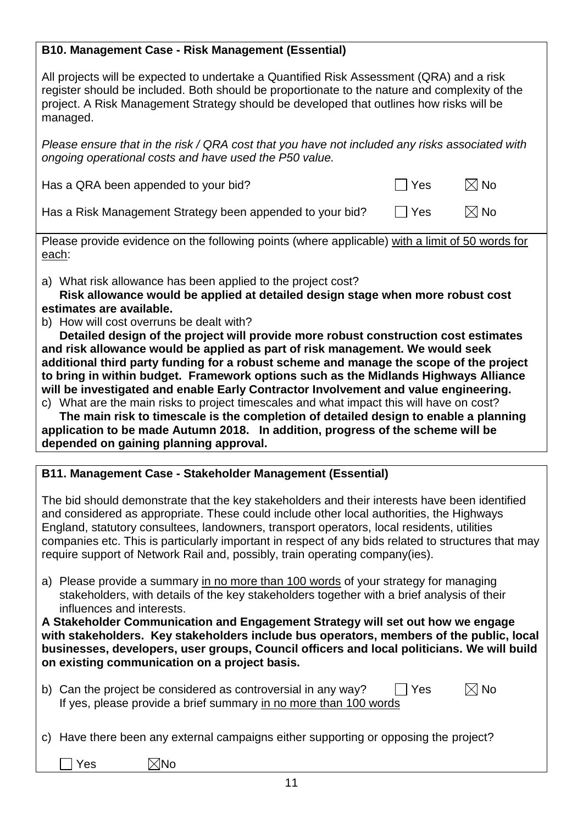## **B10. Management Case - Risk Management (Essential)**

All projects will be expected to undertake a Quantified Risk Assessment (QRA) and a risk register should be included. Both should be proportionate to the nature and complexity of the project. A Risk Management Strategy should be developed that outlines how risks will be managed.

*Please ensure that in the risk / QRA cost that you have not included any risks associated with ongoing operational costs and have used the P50 value.*

| Has a QRA been appended to your bid? | $\Box$ Yes | $\boxtimes$ No |
|--------------------------------------|------------|----------------|
|                                      |            |                |

Has a Risk Management Strategy been appended to your bid?  $\Box$  Yes  $\Box$  No

Please provide evidence on the following points (where applicable) with a limit of 50 words for each:

a) What risk allowance has been applied to the project cost?

**Risk allowance would be applied at detailed design stage when more robust cost estimates are available.**

b) How will cost overruns be dealt with?

**Detailed design of the project will provide more robust construction cost estimates and risk allowance would be applied as part of risk management. We would seek additional third party funding for a robust scheme and manage the scope of the project to bring in within budget. Framework options such as the Midlands Highways Alliance will be investigated and enable Early Contractor Involvement and value engineering.**

c) What are the main risks to project timescales and what impact this will have on cost?

**The main risk to timescale is the completion of detailed design to enable a planning application to be made Autumn 2018. In addition, progress of the scheme will be depended on gaining planning approval.**

## **B11. Management Case - Stakeholder Management (Essential)**

The bid should demonstrate that the key stakeholders and their interests have been identified and considered as appropriate. These could include other local authorities, the Highways England, statutory consultees, landowners, transport operators, local residents, utilities companies etc. This is particularly important in respect of any bids related to structures that may require support of Network Rail and, possibly, train operating company(ies).

a) Please provide a summary in no more than 100 words of your strategy for managing stakeholders, with details of the key stakeholders together with a brief analysis of their influences and interests.

**A Stakeholder Communication and Engagement Strategy will set out how we engage with stakeholders. Key stakeholders include bus operators, members of the public, local businesses, developers, user groups, Council officers and local politicians. We will build on existing communication on a project basis.**

| b) Can the project be considered as controversial in any way?    | $\Box$ Yes | $\boxtimes$ No |
|------------------------------------------------------------------|------------|----------------|
| If yes, please provide a brief summary in no more than 100 words |            |                |

c) Have there been any external campaigns either supporting or opposing the project?

Yes  $\boxtimes$ No

11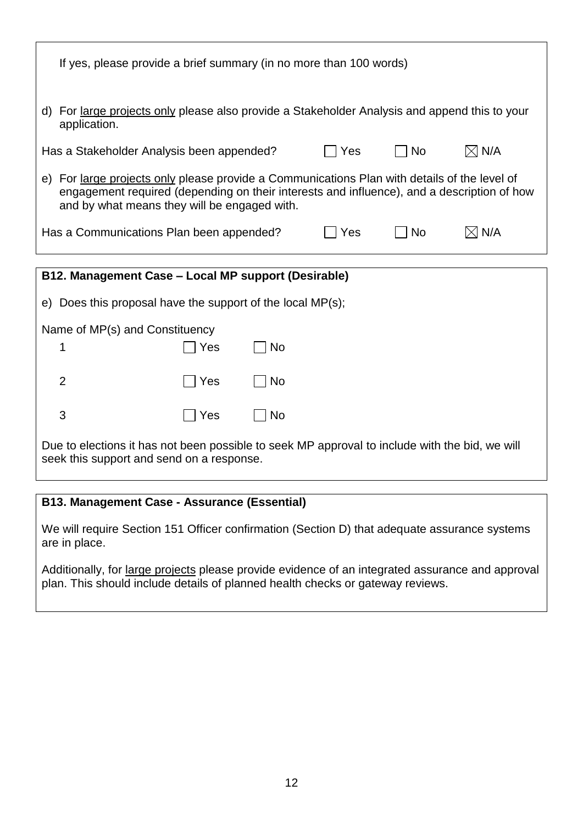| If yes, please provide a brief summary (in no more than 100 words)                                                                                                                                                                         |                                                                                               |           |     |           |                 |
|--------------------------------------------------------------------------------------------------------------------------------------------------------------------------------------------------------------------------------------------|-----------------------------------------------------------------------------------------------|-----------|-----|-----------|-----------------|
| application.                                                                                                                                                                                                                               | d) For large projects only please also provide a Stakeholder Analysis and append this to your |           |     |           |                 |
| Has a Stakeholder Analysis been appended?                                                                                                                                                                                                  |                                                                                               |           | Yes | <b>No</b> | $\boxtimes$ N/A |
| e) For large projects only please provide a Communications Plan with details of the level of<br>engagement required (depending on their interests and influence), and a description of how<br>and by what means they will be engaged with. |                                                                                               |           |     |           |                 |
| $\boxtimes$ N/A<br><b>No</b><br>Has a Communications Plan been appended?<br>Yes                                                                                                                                                            |                                                                                               |           |     |           |                 |
|                                                                                                                                                                                                                                            |                                                                                               |           |     |           |                 |
| B12. Management Case - Local MP support (Desirable)                                                                                                                                                                                        |                                                                                               |           |     |           |                 |
| e) Does this proposal have the support of the local $MP(s)$ ;                                                                                                                                                                              |                                                                                               |           |     |           |                 |
| Name of MP(s) and Constituency                                                                                                                                                                                                             |                                                                                               |           |     |           |                 |
| 1                                                                                                                                                                                                                                          | Yes                                                                                           | <b>No</b> |     |           |                 |
| $\overline{2}$                                                                                                                                                                                                                             | Yes                                                                                           | <b>No</b> |     |           |                 |
| 3                                                                                                                                                                                                                                          | Yes                                                                                           | No        |     |           |                 |

Due to elections it has not been possible to seek MP approval to include with the bid, we will seek this support and send on a response.

## **B13. Management Case - Assurance (Essential)**

We will require Section 151 Officer confirmation (Section D) that adequate assurance systems are in place.

Additionally, for large projects please provide evidence of an integrated assurance and approval plan. This should include details of planned health checks or gateway reviews.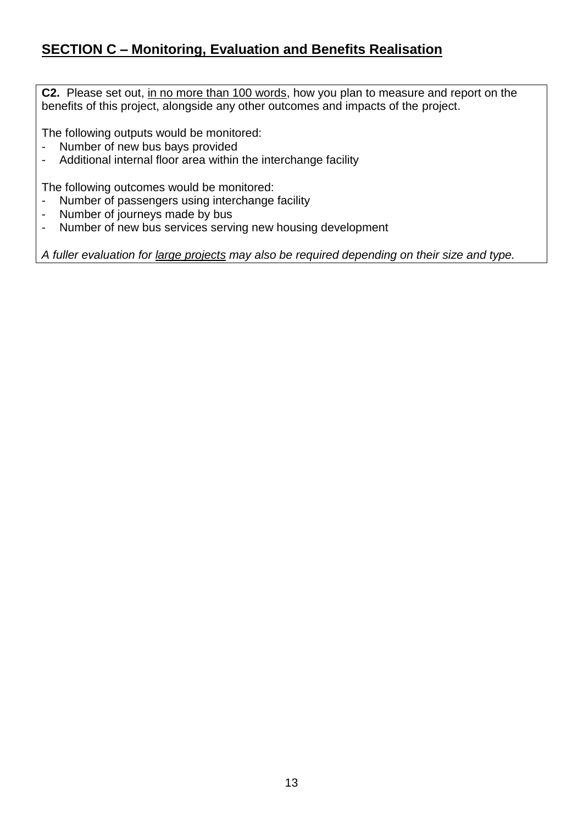# **SECTION C – Monitoring, Evaluation and Benefits Realisation**

**C2.** Please set out, in no more than 100 words, how you plan to measure and report on the benefits of this project, alongside any other outcomes and impacts of the project.

The following outputs would be monitored:

- Number of new bus bays provided<br>- Additional internal floor area within
- Additional internal floor area within the interchange facility

The following outcomes would be monitored:

- Number of passengers using interchange facility<br>- Number of journeys made by bus
- Number of journeys made by bus
- Number of new bus services serving new housing development

*A fuller evaluation for large projects may also be required depending on their size and type.*